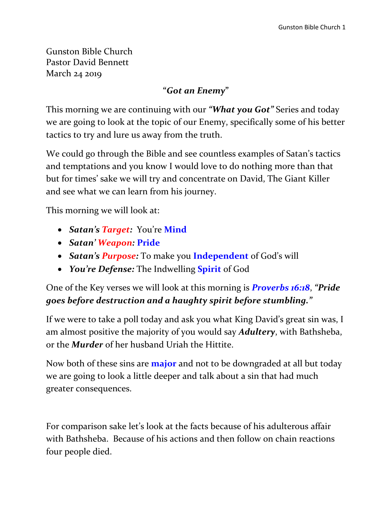Gunston Bible Church Pastor David Bennett March 24 2019

#### **"***Got an Enemy***"**

This morning we are continuing with our *"What you Got"* Series and today we are going to look at the topic of our Enemy, specifically some of his better tactics to try and lure us away from the truth.

We could go through the Bible and see countless examples of Satan's tactics and temptations and you know I would love to do nothing more than that but for times' sake we will try and concentrate on David, The Giant Killer and see what we can learn from his journey.

This morning we will look at:

- *Satan's Target:* You're **Mind**
- *Satan' Weapon:* **Pride**
- *Satan's Purpose:* To make you **Independent** of God's will
- *You're Defense:* The Indwelling **Spirit** of God

One of the Key verses we will look at this morning is *Proverbs 16:18*, *"Pride goes before destruction and a haughty spirit before stumbling."*

If we were to take a poll today and ask you what King David's great sin was, I am almost positive the majority of you would say *Adultery*, with Bathsheba, or the *Murder* of her husband Uriah the Hittite.

Now both of these sins are **major** and not to be downgraded at all but today we are going to look a little deeper and talk about a sin that had much greater consequences.

For comparison sake let's look at the facts because of his adulterous affair with Bathsheba. Because of his actions and then follow on chain reactions four people died.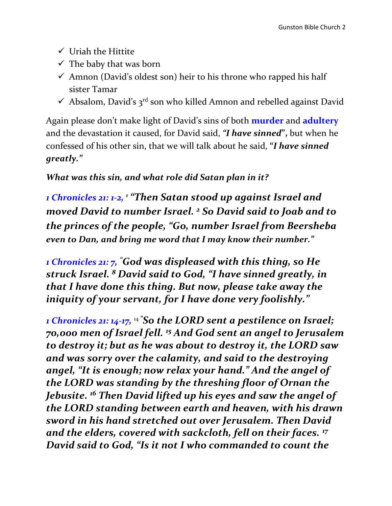- $\checkmark$  Uriah the Hittite
- $\checkmark$  The baby that was born
- $\checkmark$  Amnon (David's oldest son) heir to his throne who rapped his half sister Tamar
- $\checkmark$  Absalom, David's 3<sup>rd</sup> son who killed Amnon and rebelled against David

Again please don't make light of David's sins of both **murder** and **adultery** and the devastation it caused, for David said, *"I have sinned***",** but when he confessed of his other sin, that we will talk about he said, **"***I have sinned greatly."* 

#### *What was this sin, and what role did Satan plan in it?*

*1 Chronicles 21: 1-2, 1 "Then Satan stood up against Israel and moved David to number Israel. <sup>2</sup> So David said to Joab and to the princes of the people, "Go, number Israel from Beersheba even to Dan, and bring me word that I may know their number."*

*1 Chronicles 21: 7, "God was displeased with this thing, so He struck Israel. <sup>8</sup> David said to God, "I have sinned greatly, in that I have done this thing. But now, please take away the iniquity of your servant, for I have done very foolishly."* 

*1 Chronicles 21: 14-17,* <sup>14</sup> *"So the LORD sent a pestilence on Israel; 70,000 men of Israel fell. <sup>15</sup> And God sent an angel to Jerusalem to destroy it; but as he was about to destroy it, the LORD saw and was sorry over the calamity, and said to the destroying angel, "It is enough; now relax your hand." And the angel of the LORD was standing by the threshing floor of Ornan the Jebusite. <sup>16</sup> Then David lifted up his eyes and saw the angel of the LORD standing between earth and heaven, with his drawn sword in his hand stretched out over Jerusalem. Then David and the elders, covered with sackcloth, fell on their faces. <sup>17</sup> David said to God, "Is it not I who commanded to count the*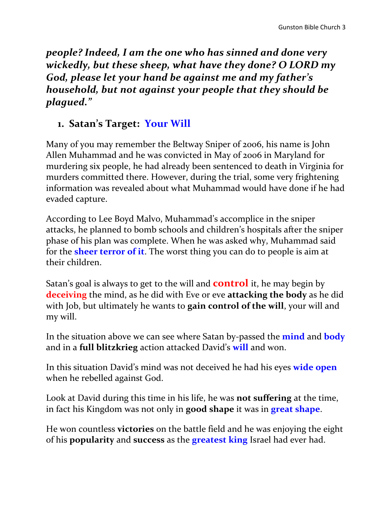*people? Indeed, I am the one who has sinned and done very wickedly, but these sheep, what have they done? O LORD my God, please let your hand be against me and my father's household, but not against your people that they should be plagued."* 

# **1. Satan's Target: Your Will**

Many of you may remember the Beltway Sniper of 2006, his name is John Allen Muhammad and he was convicted in May of 2006 in Maryland for murdering six people, he had already been sentenced to death in Virginia for murders committed there. However, during the trial, some very frightening information was revealed about what Muhammad would have done if he had evaded capture.

According to Lee Boyd Malvo, Muhammad's accomplice in the sniper attacks, he planned to bomb schools and children's hospitals after the sniper phase of his plan was complete. When he was asked why, Muhammad said for the **sheer terror of it**. The worst thing you can do to people is aim at their children.

Satan's goal is always to get to the will and **control** it, he may begin by **deceiving** the mind, as he did with Eve or eve **attacking the body** as he did with Job, but ultimately he wants to **gain control of the will**, your will and my will.

In the situation above we can see where Satan by-passed the **mind** and **body** and in a **full blitzkrieg** action attacked David's **will** and won.

In this situation David's mind was not deceived he had his eyes **wide open** when he rebelled against God.

Look at David during this time in his life, he was **not suffering** at the time, in fact his Kingdom was not only in **good shape** it was in **great shape**.

He won countless **victories** on the battle field and he was enjoying the eight of his **popularity** and **success** as the **greatest king** Israel had ever had.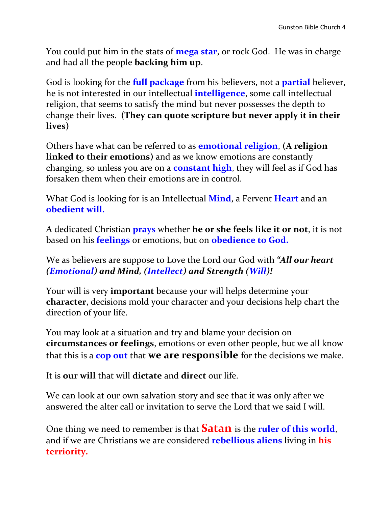You could put him in the stats of **mega star**, or rock God. He was in charge and had all the people **backing him up**.

God is looking for the **full package** from his believers, not a **partial** believer, he is not interested in our intellectual **intelligence**, some call intellectual religion, that seems to satisfy the mind but never possesses the depth to change their lives. **(They can quote scripture but never apply it in their lives)** 

Others have what can be referred to as **emotional religion**, **(A religion linked to their emotions)** and as we know emotions are constantly changing, so unless you are on a **constant high**, they will feel as if God has forsaken them when their emotions are in control.

What God is looking for is an Intellectual **Mind**, a Fervent **Heart** and an **obedient will.**

A dedicated Christian **prays** whether **he or she feels like it or not**, it is not based on his **feelings** or emotions, but on **obedience to God.**

We as believers are suppose to Love the Lord our God with *"All our heart (Emotional) and Mind, (Intellect) and Strength (Will)!*

Your will is very **important** because your will helps determine your **character**, decisions mold your character and your decisions help chart the direction of your life.

You may look at a situation and try and blame your decision on **circumstances or feelings**, emotions or even other people, but we all know that this is a **cop out** that **we are responsible** for the decisions we make.

It is **our will** that will **dictate** and **direct** our life.

We can look at our own salvation story and see that it was only after we answered the alter call or invitation to serve the Lord that we said I will.

One thing we need to remember is that **Satan** is the **ruler of this world**, and if we are Christians we are considered **rebellious aliens** living in **his terriority.**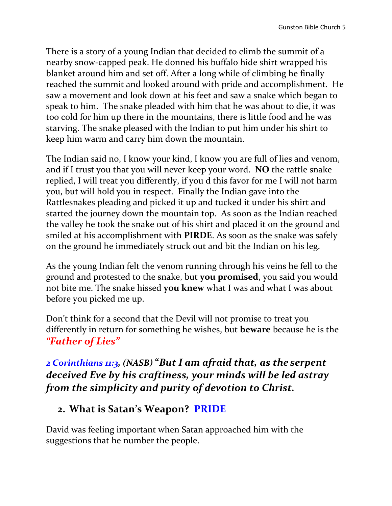There is a story of a young Indian that decided to climb the summit of a nearby snow-capped peak. He donned his buffalo hide shirt wrapped his blanket around him and set off. After a long while of climbing he finally reached the summit and looked around with pride and accomplishment. He saw a movement and look down at his feet and saw a snake which began to speak to him. The snake pleaded with him that he was about to die, it was too cold for him up there in the mountains, there is little food and he was starving. The snake pleased with the Indian to put him under his shirt to keep him warm and carry him down the mountain.

The Indian said no, I know your kind, I know you are full of lies and venom, and if I trust you that you will never keep your word. **NO** the rattle snake replied, I will treat you differently, if you d this favor for me I will not harm you, but will hold you in respect. Finally the Indian gave into the Rattlesnakes pleading and picked it up and tucked it under his shirt and started the journey down the mountain top. As soon as the Indian reached the valley he took the snake out of his shirt and placed it on the ground and smiled at his accomplishment with **PIRDE**. As soon as the snake was safely on the ground he immediately struck out and bit the Indian on his leg.

As the young Indian felt the venom running through his veins he fell to the ground and protested to the snake, but **you promised**, you said you would not bite me. The snake hissed **you knew** what I was and what I was about before you picked me up.

Don't think for a second that the Devil will not promise to treat you differently in return for something he wishes, but **beware** because he is the *"Father of Lies"*

*2 Corinthians 11:3, (NASB)* **"***But I am afraid that, as the serpent deceived Eve by his craftiness, your minds will be led astray from the simplicity and purity of devotion to Christ.*

#### **2. What is Satan's Weapon? PRIDE**

David was feeling important when Satan approached him with the suggestions that he number the people.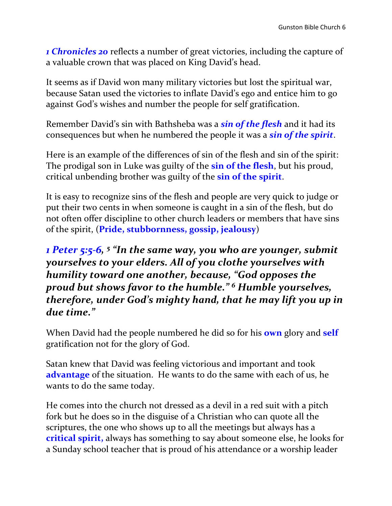*1 Chronicles 20* reflects a number of great victories, including the capture of a valuable crown that was placed on King David's head.

It seems as if David won many military victories but lost the spiritual war, because Satan used the victories to inflate David's ego and entice him to go against God's wishes and number the people for self gratification.

Remember David's sin with Bathsheba was a *sin of the flesh* and it had its consequences but when he numbered the people it was a *sin of the spirit*.

Here is an example of the differences of sin of the flesh and sin of the spirit: The prodigal son in Luke was guilty of the **sin of the flesh**, but his proud, critical unbending brother was guilty of the **sin of the spirit**.

It is easy to recognize sins of the flesh and people are very quick to judge or put their two cents in when someone is caught in a sin of the flesh, but do not often offer discipline to other church leaders or members that have sins of the spirit, (**Pride, stubbornness, gossip, jealousy**)

*1 Peter 5:5-6, 5 "In the same way, you who are younger, submit yourselves to your elders. All of you clothe yourselves with humility toward one another, because, "God opposes the proud but shows favor to the humble." <sup>6</sup> Humble yourselves, therefore, under God's mighty hand, that he may lift you up in due time."*

When David had the people numbered he did so for his **own** glory and **self** gratification not for the glory of God.

Satan knew that David was feeling victorious and important and took **advantage** of the situation. He wants to do the same with each of us, he wants to do the same today.

He comes into the church not dressed as a devil in a red suit with a pitch fork but he does so in the disguise of a Christian who can quote all the scriptures, the one who shows up to all the meetings but always has a **critical spirit,** always has something to say about someone else, he looks for a Sunday school teacher that is proud of his attendance or a worship leader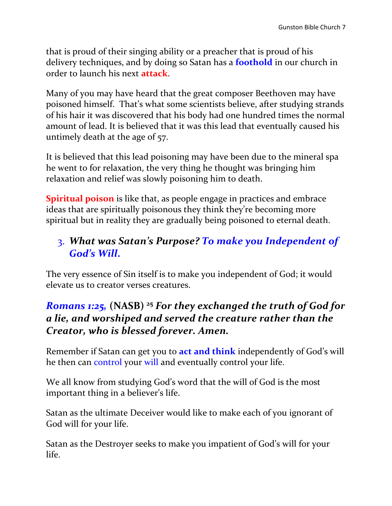that is proud of their singing ability or a preacher that is proud of his delivery techniques, and by doing so Satan has a **foothold** in our church in order to launch his next **attack**.

Many of you may have heard that the great composer Beethoven may have poisoned himself. That's what some scientists believe, after studying strands of his hair it was discovered that his body had one hundred times the normal amount of lead. It is believed that it was this lead that eventually caused his untimely death at the age of 57.

It is believed that this lead poisoning may have been due to the mineral spa he went to for relaxation, the very thing he thought was bringing him relaxation and relief was slowly poisoning him to death.

**Spiritual poison** is like that, as people engage in practices and embrace ideas that are spiritually poisonous they think they're becoming more spiritual but in reality they are gradually being poisoned to eternal death.

# 3. *What was Satan's Purpose? To make you Independent of God's Will***.**

The very essence of Sin itself is to make you independent of God; it would elevate us to creator verses creatures.

### *Romans 1:25,* **(NASB) <sup>25</sup>** *For they exchanged the truth of God for a lie, and worshiped and served the creature rather than the Creator, who is blessed forever. Amen.*

Remember if Satan can get you to **act and think** independently of God's will he then can control your will and eventually control your life.

We all know from studying God's word that the will of God is the most important thing in a believer's life.

Satan as the ultimate Deceiver would like to make each of you ignorant of God will for your life.

Satan as the Destroyer seeks to make you impatient of God's will for your life.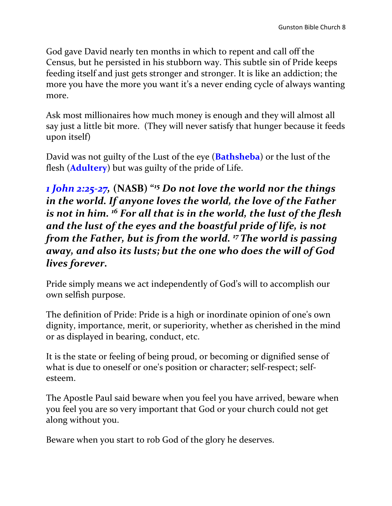God gave David nearly ten months in which to repent and call off the Census, but he persisted in his stubborn way. This subtle sin of Pride keeps feeding itself and just gets stronger and stronger. It is like an addiction; the more you have the more you want it's a never ending cycle of always wanting more.

Ask most millionaires how much money is enough and they will almost all say just a little bit more. (They will never satisfy that hunger because it feeds upon itself)

David was not guilty of the Lust of the eye (**Bathsheba**) or the lust of the flesh (**Adultery**) but was guilty of the pride of Life.

*1 John 2:25-27,* **(NASB) "***<sup>15</sup> Do not love the world nor the things in the world. If anyone loves the world, the love of the Father is not in him. <sup>16</sup> For all that is in the world, the lust of the flesh and the lust of the eyes and the boastful pride of life, is not from the Father, but is from the world. <sup>17</sup>The world is passing away, and also its lusts; but the one who does the will of God lives forever.*

Pride simply means we act independently of God's will to accomplish our own selfish purpose.

The definition of Pride: Pride is a high or inordinate opinion of one's own dignity, importance, merit, or superiority, whether as cherished in [the](http://dictionary.reference.com/browse/the) mind or as displayed in bearing, conduct, etc.

It is the state or feeling of being proud, or becoming or dignified sense of [what](http://dictionary.reference.com/browse/what) is due to oneself or one's position or character; [self-respect;](http://dictionary.reference.com/browse/self-respect) selfesteem.

The Apostle Paul said beware when you feel you have arrived, beware when you feel you are so very important that God or your church could not get along without you.

Beware when you start to rob God of the glory he deserves.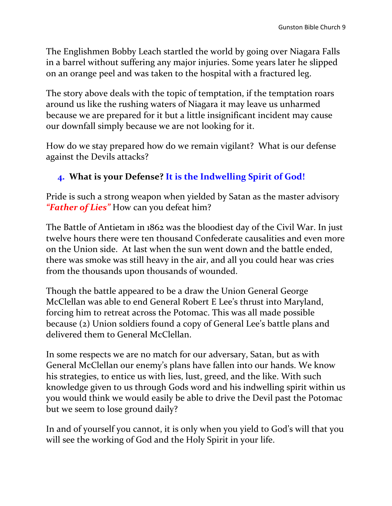The Englishmen Bobby Leach startled the world by going over Niagara Falls in a barrel without suffering any major injuries. Some years later he slipped on an orange peel and was taken to the hospital with a fractured leg.

The story above deals with the topic of temptation, if the temptation roars around us like the rushing waters of Niagara it may leave us unharmed because we are prepared for it but a little insignificant incident may cause our downfall simply because we are not looking for it.

How do we stay prepared how do we remain vigilant? What is our defense against the Devils attacks?

#### **4. What is your Defense? It is the Indwelling Spirit of God!**

Pride is such a strong weapon when yielded by Satan as the master advisory *"Father of Lies"* How can you defeat him?

The Battle of Antietam in 1862 was the bloodiest day of the Civil War. In just twelve hours there were ten thousand Confederate causalities and even more on the Union side. At last when the sun went down and the battle ended, there was smoke was still heavy in the air, and all you could hear was cries from the thousands upon thousands of wounded.

Though the battle appeared to be a draw the Union General George McClellan was able to end General Robert E Lee's thrust into Maryland, forcing him to retreat across the Potomac. This was all made possible because (2) Union soldiers found a copy of General Lee's battle plans and delivered them to General McClellan.

In some respects we are no match for our adversary, Satan, but as with General McClellan our enemy's plans have fallen into our hands. We know his strategies, to entice us with lies, lust, greed, and the like. With such knowledge given to us through Gods word and his indwelling spirit within us you would think we would easily be able to drive the Devil past the Potomac but we seem to lose ground daily?

In and of yourself you cannot, it is only when you yield to God's will that you will see the working of God and the Holy Spirit in your life.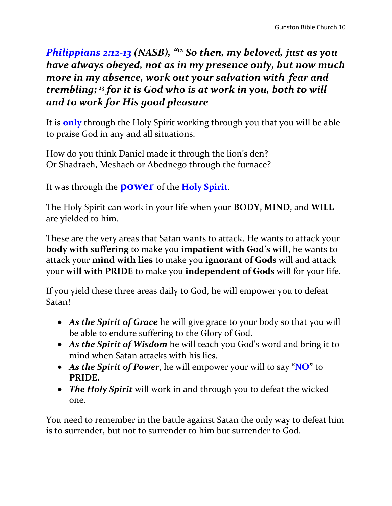### *Philippians 2:12-13 (NASB), " <sup>12</sup> So then, my beloved, just as you have always obeyed, not as in my presence only, but now much more in my absence, work out your salvation with fear and trembling; <sup>13</sup> for it is God who is at work in you, both to will and to work for His good pleasure*

It is **only** through the Holy Spirit working through you that you will be able to praise God in any and all situations.

How do you think Daniel made it through the lion's den? Or Shadrach, Meshach or Abednego through the furnace?

It was through the **power** of the **Holy Spirit**.

The Holy Spirit can work in your life when your **BODY, MIND**, and **WILL**  are yielded to him.

These are the very areas that Satan wants to attack. He wants to attack your **body with suffering** to make you **impatient with God's will**, he wants to attack your **mind with lies** to make you **ignorant of Gods** will and attack your **will with PRIDE** to make you **independent of Gods** will for your life.

If you yield these three areas daily to God, he will empower you to defeat Satan!

- *As the Spirit of Grace* he will give grace to your body so that you will be able to endure suffering to the Glory of God.
- *As the Spirit of Wisdom* he will teach you God's word and bring it to mind when Satan attacks with his lies.
- *As the Spirit of Power*, he will empower your will to say **"NO"** to **PRIDE.**
- *The Holy Spirit* will work in and through you to defeat the wicked one.

You need to remember in the battle against Satan the only way to defeat him is to surrender, but not to surrender to him but surrender to God.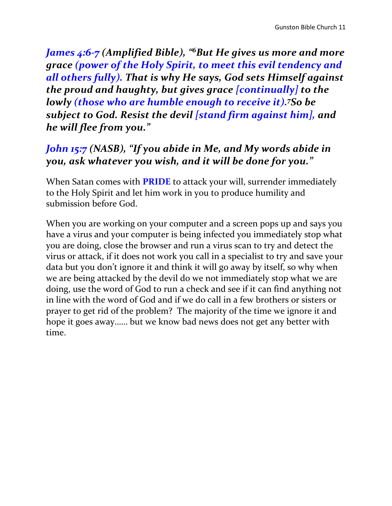*James 4:6-7 (Amplified Bible), " <sup>6</sup>But He gives us more and more grace (power of the Holy Spirit, to meet this evil tendency and all others fully). That is why He says, God sets Himself against the proud and haughty, but gives grace [continually] to the lowly (those who are humble enough to receive it).<sup>7</sup>So be subject to God. Resist the devil [stand firm against him], and he will flee from you."*

### *John 15:7 (NASB), "If you abide in Me, and My words abide in you, ask whatever you wish, and it will be done for you."*

When Satan comes with **PRIDE** to attack your will, surrender immediately to the Holy Spirit and let him work in you to produce humility and submission before God.

When you are working on your computer and a screen pops up and says you have a virus and your computer is being infected you immediately stop what you are doing, close the browser and run a virus scan to try and detect the virus or attack, if it does not work you call in a specialist to try and save your data but you don't ignore it and think it will go away by itself, so why when we are being attacked by the devil do we not immediately stop what we are doing, use the word of God to run a check and see if it can find anything not in line with the word of God and if we do call in a few brothers or sisters or prayer to get rid of the problem? The majority of the time we ignore it and hope it goes away…… but we know bad news does not get any better with time.